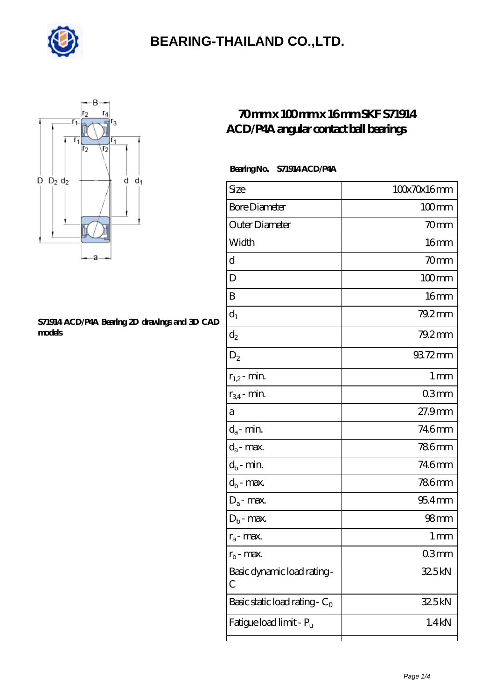



#### **[S71914 ACD/P4A Bearing 2D drawings and 3D CAD](https://goldengatetunnel.com/pic-387984.html) [models](https://goldengatetunnel.com/pic-387984.html)**

### **[70 mm x 100 mm x 16 mm SKF S71914](https://goldengatetunnel.com/be-387984-skf-s71914-acd-p4a-angular-contact-ball-bearings.html) [ACD/P4A angular contact ball bearings](https://goldengatetunnel.com/be-387984-skf-s71914-acd-p4a-angular-contact-ball-bearings.html)**

#### **Bearing No. S71914 ACD/P4A**

| Size                             | 100x70x16mm       |
|----------------------------------|-------------------|
| <b>Bore Diameter</b>             | $100$ mm          |
| Outer Diameter                   | 70 <sub>mm</sub>  |
| Width                            | 16 <sub>mm</sub>  |
| d                                | 70mm              |
| D                                | $100$ mm          |
| B                                | 16 <sub>mm</sub>  |
| $d_1$                            | $79.2$ mm         |
| $d_2$                            | 79.2mm            |
| $D_2$                            | 93.72mm           |
| $r_{1,2}$ - min.                 | 1 <sub>mm</sub>   |
| $r_{34}$ - min.                  | 03 <sub>mm</sub>  |
| а                                | $27.9$ mm         |
| $d_a$ - min.                     | 746mm             |
| $d_a$ - max.                     | <b>786mm</b>      |
| $d_b$ - min.                     | 746mm             |
| $d_b$ - max.                     | 786mm             |
| $D_a$ - max.                     | $954$ mm          |
| $D_b$ - max.                     | 98 mm             |
| $r_a$ - max.                     | $1 \,\mathrm{mm}$ |
| $r_{b}$ - max.                   | 03mm              |
| Basic dynamic load rating-<br>С  | 32.5kN            |
| Basic static load rating - $C_0$ | 32.5kN            |
| Fatigue load limit - Pu          | 1.4 kN            |
|                                  |                   |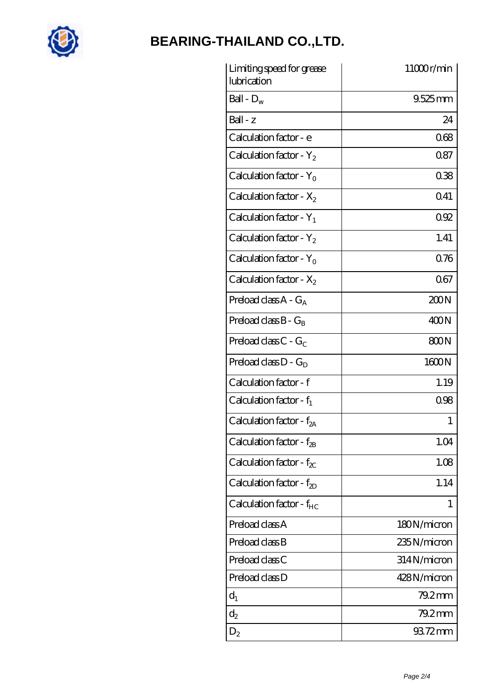

| Limiting speed for grease<br>lubrication | 11000r/min  |
|------------------------------------------|-------------|
| Ball - $D_w$                             | 9.525 mm    |
| $Ball - z$                               | 24          |
| Calculation factor - e                   | 068         |
| Calculation factor - $Y_2$               | 0.87        |
| Calculation factor - $Y_0$               | 038         |
| Calculation factor - $X_2$               | 0.41        |
| Calculation factor - $Y_1$               | 092         |
| Calculation factor - $Y_2$               | 1.41        |
| Calculation factor - $Y_0$               | 0.76        |
| Calculation factor - $X_2$               | 067         |
| Preload class $A - G_A$                  | 200N        |
| Preload class $B - G_B$                  | 400N        |
| Preload class $C$ - $G_C$                | 800N        |
| Preload class $D - G_D$                  | 1600N       |
| Calculation factor - f                   | 1.19        |
| Calculation factor - $f_1$               | 0.98        |
| Calculation factor - f <sub>2A</sub>     | 1           |
| Calculation factor - $f_{2B}$            | 1.04        |
| Calculation factor - $f_{\chi}$          | 1.08        |
| Calculation factor - $f_{ZD}$            | 1.14        |
| Calculation factor - $f_{HC}$            | 1           |
| Preload class A                          | 180N/micron |
| Preload class B                          | 235N/micron |
| Preload class C                          | 314N/micron |
| Preload class D                          | 428N/micron |
| $d_1$                                    | $79.2$ mm   |
| $\mathrm{d}_2$                           | 79.2mm      |
| $D_2$                                    | 93.72mm     |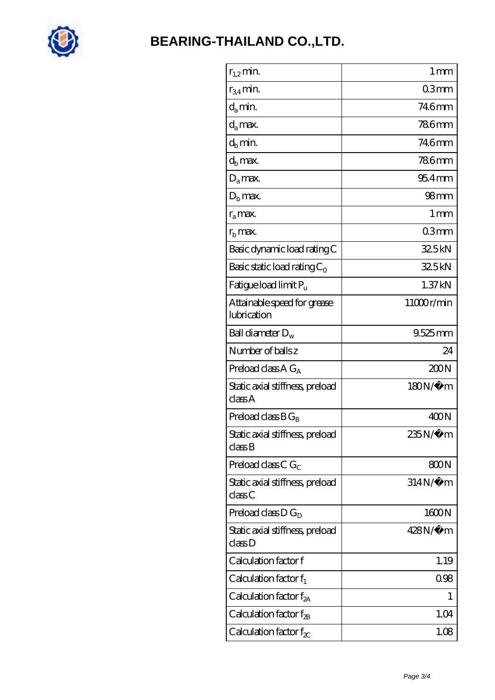

| $r_{1,2}$ min.                             | 1 <sub>mm</sub>  |
|--------------------------------------------|------------------|
| $r_{34}$ min.                              | 03mm             |
| $d_a$ min.                                 | 746mm            |
| $d_a$ max.                                 | <b>786mm</b>     |
| $d_b$ min.                                 | 746mm            |
| $d_h$ max.                                 | <b>786mm</b>     |
| $D_a$ max.                                 | $954$ mm         |
| $D_{b}$ max.                               | 98 <sub>mm</sub> |
| $r_a$ max.                                 | 1 <sub>mm</sub>  |
| $rb$ max.                                  | 03mm             |
| Basic dynamic load rating C                | 32.5kN           |
| Basic static load rating $C_0$             | 32.5kN           |
| Fatigue load limit $P_u$                   | 1.37kN           |
| Attainable speed for grease<br>lubrication | 11000r/min       |
| Ball diameter $D_w$                        | 9.525mm          |
| Number of balls z                          | 24               |
| Preload class $AG_A$                       | 200N             |
| Static axial stiffness, preload<br>classA  | 180N/μ m         |
| Preload class $BG_B$                       | 400N             |
| Static axial stiffness, preload<br>classB  | 235N/µ m         |
| Preload class C $G_C$                      | 800N             |
| Static axial stiffness, preload<br>classC  | $314N/\mu$ m     |
| Preload class $D G_D$                      | 1600N            |
| Static axial stiffness, preload<br>classD  | $428N/\mu$ m     |
| Calculation factor f                       | 1.19             |
| Calculation factor $f_1$                   | 0.98             |
| Calculation factor $f_{2A}$                | 1                |
| Calculation factor $f_{\rm 2B}$            | 1.04             |
| Calculation factor $f_{\chi}$              | 1.08             |